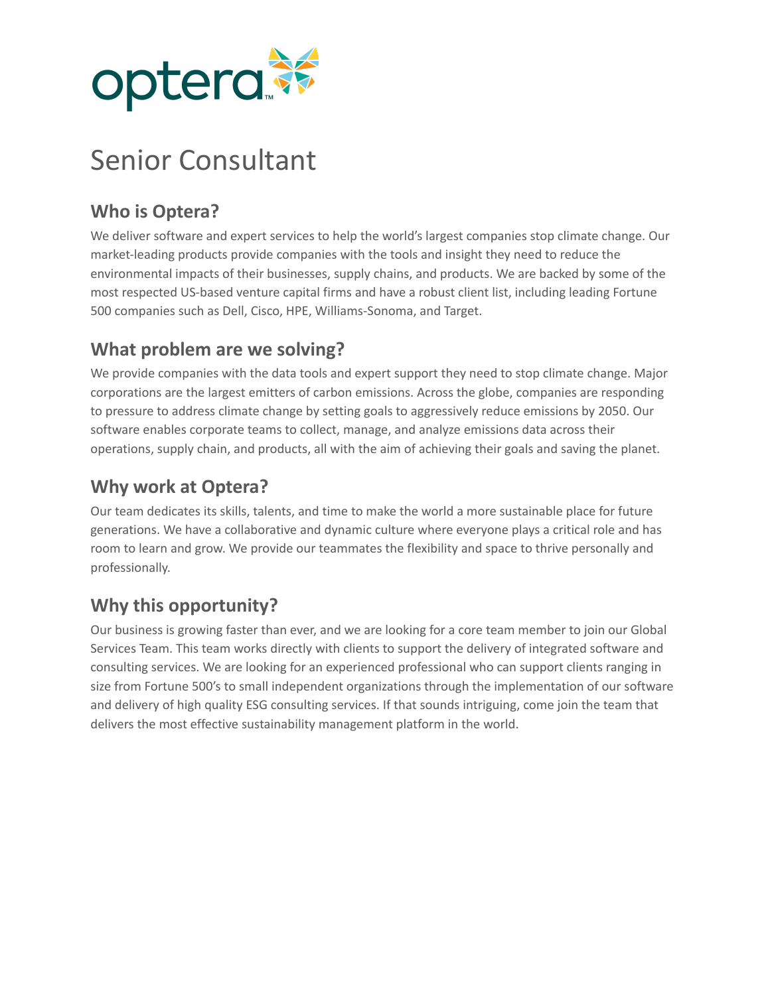

# Senior Consultant

# **Who is Optera?**

We deliver software and expert services to help the world's largest companies stop climate change. Our market-leading products provide companies with the tools and insight they need to reduce the environmental impacts of their businesses, supply chains, and products. We are backed by some of the most respected US-based venture capital firms and have a robust client list, including leading Fortune 500 companies such as Dell, Cisco, HPE, Williams-Sonoma, and Target.

#### **What problem are we solving?**

We provide companies with the data tools and expert support they need to stop climate change. Major corporations are the largest emitters of carbon emissions. Across the globe, companies are responding to pressure to address climate change by setting goals to aggressively reduce emissions by 2050. Our software enables corporate teams to collect, manage, and analyze emissions data across their operations, supply chain, and products, all with the aim of achieving their goals and saving the planet.

#### **Why work at Optera?**

Our team dedicates its skills, talents, and time to make the world a more sustainable place for future generations. We have a collaborative and dynamic culture where everyone plays a critical role and has room to learn and grow. We provide our teammates the flexibility and space to thrive personally and professionally.

# **Why this opportunity?**

Our business is growing faster than ever, and we are looking for a core team member to join our Global Services Team. This team works directly with clients to support the delivery of integrated software and consulting services. We are looking for an experienced professional who can support clients ranging in size from Fortune 500's to small independent organizations through the implementation of our software and delivery of high quality ESG consulting services. If that sounds intriguing, come join the team that delivers the most effective sustainability management platform in the world.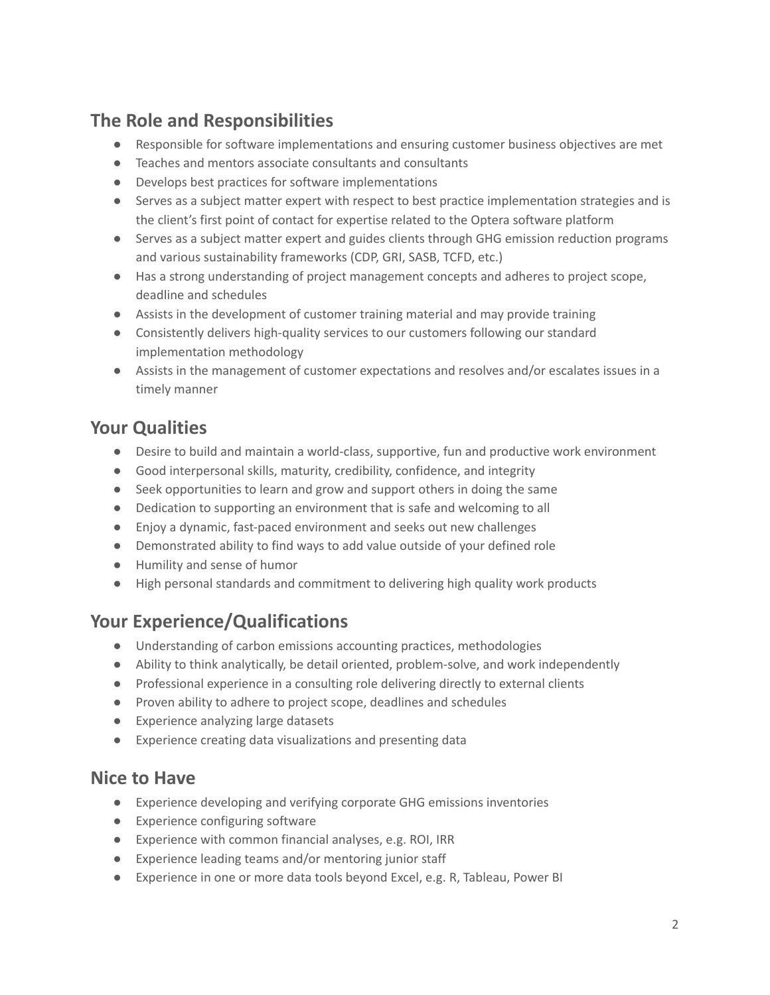## **The Role and Responsibilities**

- Responsible for software implementations and ensuring customer business objectives are met
- Teaches and mentors associate consultants and consultants
- Develops best practices for software implementations
- Serves as a subject matter expert with respect to best practice implementation strategies and is the client's first point of contact for expertise related to the Optera software platform
- Serves as a subject matter expert and guides clients through GHG emission reduction programs and various sustainability frameworks (CDP, GRI, SASB, TCFD, etc.)
- Has a strong understanding of project management concepts and adheres to project scope, deadline and schedules
- Assists in the development of customer training material and may provide training
- Consistently delivers high-quality services to our customers following our standard implementation methodology
- Assists in the management of customer expectations and resolves and/or escalates issues in a timely manner

#### **Your Qualities**

- Desire to build and maintain a world-class, supportive, fun and productive work environment
- Good interpersonal skills, maturity, credibility, confidence, and integrity
- Seek opportunities to learn and grow and support others in doing the same
- Dedication to supporting an environment that is safe and welcoming to all
- Enjoy a dynamic, fast-paced environment and seeks out new challenges
- Demonstrated ability to find ways to add value outside of your defined role
- Humility and sense of humor
- High personal standards and commitment to delivering high quality work products

## **Your Experience/Qualifications**

- Understanding of carbon emissions accounting practices, methodologies
- Ability to think analytically, be detail oriented, problem-solve, and work independently
- Professional experience in a consulting role delivering directly to external clients
- Proven ability to adhere to project scope, deadlines and schedules
- Experience analyzing large datasets
- Experience creating data visualizations and presenting data

#### **Nice to Have**

- Experience developing and verifying corporate GHG emissions inventories
- Experience configuring software
- Experience with common financial analyses, e.g. ROI, IRR
- Experience leading teams and/or mentoring junior staff
- Experience in one or more data tools beyond Excel, e.g. R, Tableau, Power BI